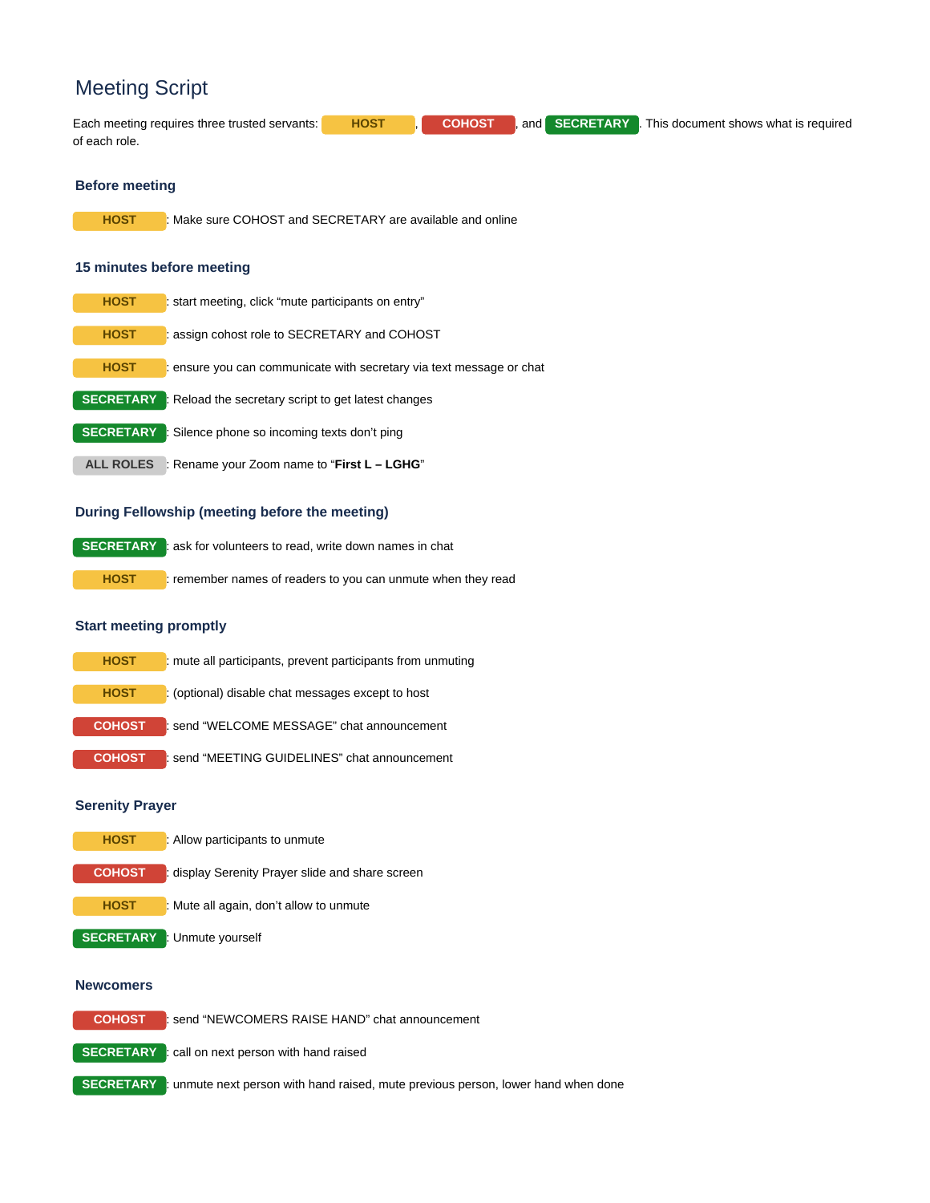# Meeting Script

Each meeting requires three trusted servants: **HOST** , **COHOST** , and **SECRETARY** . This document shows what is required of each role.

#### **Before meeting**

**HOST** : Make sure COHOST and SECRETARY are available and online

#### **15 minutes before meeting**

| <b>HOST</b>      | : start meeting, click "mute participants on entry"                  |
|------------------|----------------------------------------------------------------------|
| <b>HOST</b>      | : assign cohost role to SECRETARY and COHOST                         |
| <b>HOST</b>      | : ensure you can communicate with secretary via text message or chat |
| <b>SECRETARY</b> | : Reload the secretary script to get latest changes                  |
| <b>SECRETARY</b> | : Silence phone so incoming texts don't ping                         |
| <b>ALL ROLES</b> | : Rename your Zoom name to "First L – LGHG"                          |
|                  |                                                                      |

## **During Fellowship (meeting before the meeting)**

**SECRETARY** : ask for volunteers to read, write down names in chat **HOST** : remember names of readers to you can unmute when they read

## **Start meeting promptly**

| <b>HOST</b>   | : mute all participants, prevent participants from unmuting |
|---------------|-------------------------------------------------------------|
| <b>HOST</b>   | : (optional) disable chat messages except to host           |
| <b>COHOST</b> | send "WELCOME MESSAGE" chat announcement                    |
| <b>COHOST</b> | : send "MEETING GUIDELINES" chat announcement               |

#### **Serenity Prayer**

| <b>HOST</b>   | : Allow participants to unmute                 |
|---------------|------------------------------------------------|
| <b>COHOST</b> | display Serenity Prayer slide and share screen |
| <b>HOST</b>   | : Mute all again, don't allow to unmute        |
|               | <b>SECRETARY</b> Unmute yourself               |

## **Newcomers**

**COHOST** : send "NEWCOMERS RAISE HAND" chat announcement

**SECRETARY** : call on next person with hand raised

**SECRETARY** : unmute next person with hand raised, mute previous person, lower hand when done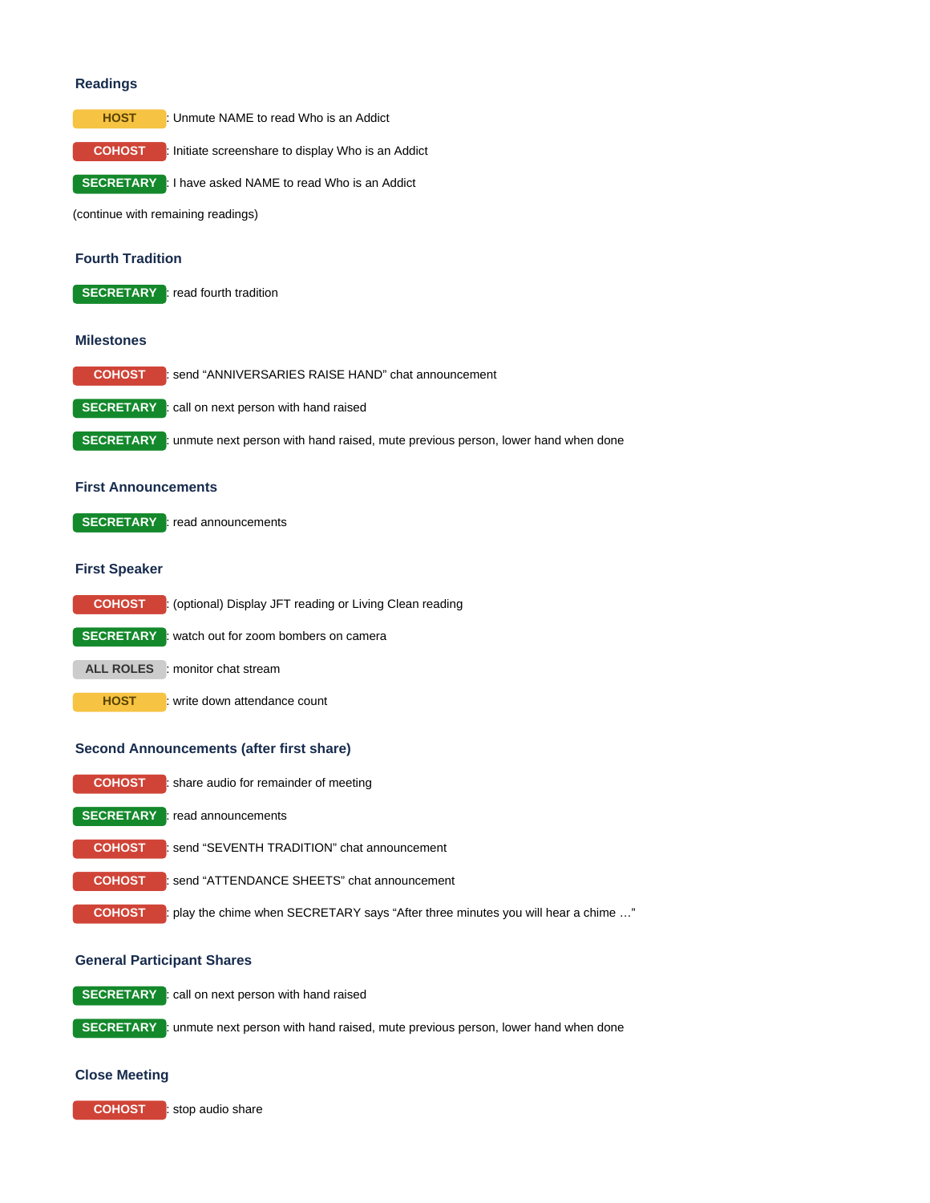#### **Readings**



**COHOST** : Initiate screenshare to display Who is an Addict

**SECRETARY** : I have asked NAME to read Who is an Addict

(continue with remaining readings)

## **Fourth Tradition**

**SECRETARY** : read fourth tradition

#### **Milestones**

| <b>COHOST</b> | send "ANNIVERSARIES RAISE HAND" chat announcement                                                  |
|---------------|----------------------------------------------------------------------------------------------------|
|               | <b>SECRETARY</b> : call on next person with hand raised                                            |
|               | <b>SECRETARY</b> : unmute next person with hand raised, mute previous person, lower hand when done |

## **First Announcements**

**SECRETARY** : read announcements

#### **First Speaker**

**COHOST** : (optional) Display JFT reading or Living Clean reading **SECRETARY** : watch out for zoom bombers on camera **ALL ROLES** : monitor chat stream **HOST** : write down attendance count

#### **Second Announcements (after first share)**

| <b>COHOST</b> | : share audio for remainder of meeting                                            |
|---------------|-----------------------------------------------------------------------------------|
|               | <b>SECRETARY</b> : read announcements                                             |
| <b>COHOST</b> | send "SEVENTH TRADITION" chat announcement                                        |
| <b>COHOST</b> | send "ATTENDANCE SHEETS" chat announcement                                        |
| <b>COHOST</b> | : play the chime when SECRETARY says "After three minutes you will hear a chime " |

## **General Participant Shares**

**SECRETARY** : call on next person with hand raised

**SECRETARY** : unmute next person with hand raised, mute previous person, lower hand when done

#### **Close Meeting**

**COHOST** : stop audio share